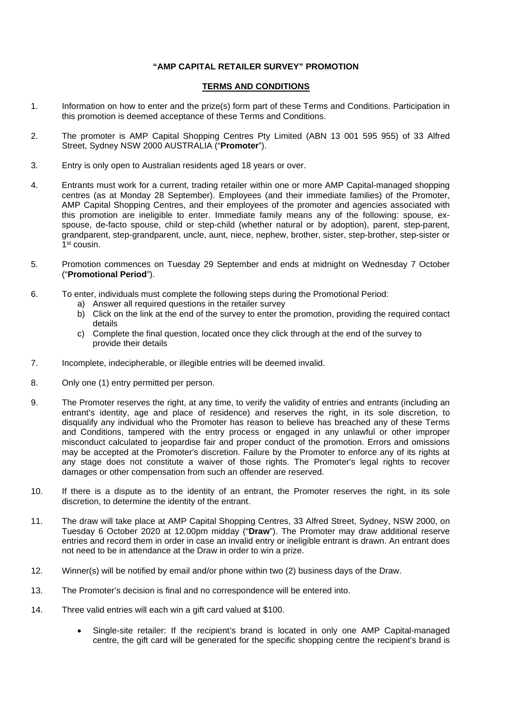## **"AMP CAPITAL RETAILER SURVEY" PROMOTION**

## **TERMS AND CONDITIONS**

- 1. Information on how to enter and the prize(s) form part of these Terms and Conditions. Participation in this promotion is deemed acceptance of these Terms and Conditions.
- 2. The promoter is AMP Capital Shopping Centres Pty Limited (ABN 13 001 595 955) of 33 Alfred Street, Sydney NSW 2000 AUSTRALIA ("**Promoter**").
- 3. Entry is only open to Australian residents aged 18 years or over.
- 4. Entrants must work for a current, trading retailer within one or more AMP Capital-managed shopping centres (as at Monday 28 September). Employees (and their immediate families) of the Promoter, AMP Capital Shopping Centres, and their employees of the promoter and agencies associated with this promotion are ineligible to enter. Immediate family means any of the following: spouse, exspouse, de-facto spouse, child or step-child (whether natural or by adoption), parent, step-parent, grandparent, step-grandparent, uncle, aunt, niece, nephew, brother, sister, step-brother, step-sister or 1<sup>st</sup> cousin.
- 5. Promotion commences on Tuesday 29 September and ends at midnight on Wednesday 7 October ("**Promotional Period**").
- 6. To enter, individuals must complete the following steps during the Promotional Period:
	- a) Answer all required questions in the retailer survey
	- b) Click on the link at the end of the survey to enter the promotion, providing the required contact details
	- c) Complete the final question, located once they click through at the end of the survey to provide their details
- 7. Incomplete, indecipherable, or illegible entries will be deemed invalid.
- 8. Only one (1) entry permitted per person.
- 9. The Promoter reserves the right, at any time, to verify the validity of entries and entrants (including an entrant's identity, age and place of residence) and reserves the right, in its sole discretion, to disqualify any individual who the Promoter has reason to believe has breached any of these Terms and Conditions, tampered with the entry process or engaged in any unlawful or other improper misconduct calculated to jeopardise fair and proper conduct of the promotion. Errors and omissions may be accepted at the Promoter's discretion. Failure by the Promoter to enforce any of its rights at any stage does not constitute a waiver of those rights. The Promoter's legal rights to recover damages or other compensation from such an offender are reserved.
- 10. If there is a dispute as to the identity of an entrant, the Promoter reserves the right, in its sole discretion, to determine the identity of the entrant.
- 11. The draw will take place at AMP Capital Shopping Centres, 33 Alfred Street, Sydney, NSW 2000, on Tuesday 6 October 2020 at 12.00pm midday ("**Draw**"). The Promoter may draw additional reserve entries and record them in order in case an invalid entry or ineligible entrant is drawn. An entrant does not need to be in attendance at the Draw in order to win a prize.
- 12. Winner(s) will be notified by email and/or phone within two (2) business days of the Draw.
- 13. The Promoter's decision is final and no correspondence will be entered into.
- 14. Three valid entries will each win a gift card valued at \$100.
	- Single-site retailer: If the recipient's brand is located in only one AMP Capital-managed centre, the gift card will be generated for the specific shopping centre the recipient's brand is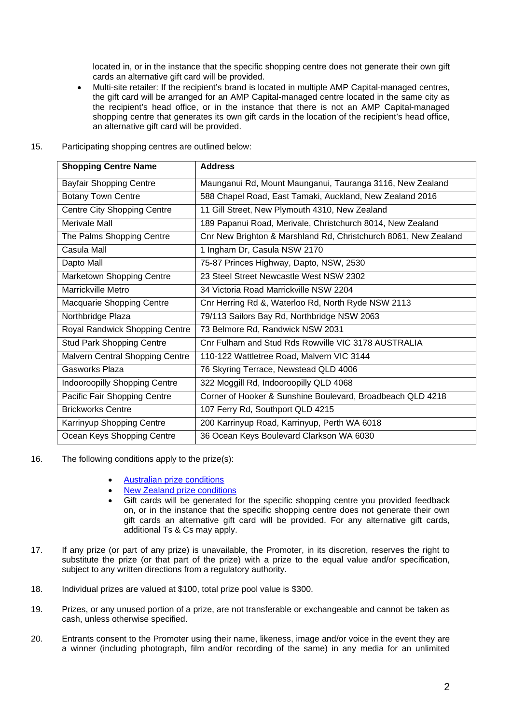located in, or in the instance that the specific shopping centre does not generate their own gift cards an alternative gift card will be provided.

• Multi-site retailer: If the recipient's brand is located in multiple AMP Capital-managed centres, the gift card will be arranged for an AMP Capital-managed centre located in the same city as the recipient's head office, or in the instance that there is not an AMP Capital-managed shopping centre that generates its own gift cards in the location of the recipient's head office, an alternative gift card will be provided.

| <b>Shopping Centre Name</b>          | <b>Address</b>                                                  |
|--------------------------------------|-----------------------------------------------------------------|
| <b>Bayfair Shopping Centre</b>       | Maunganui Rd, Mount Maunganui, Tauranga 3116, New Zealand       |
| <b>Botany Town Centre</b>            | 588 Chapel Road, East Tamaki, Auckland, New Zealand 2016        |
| <b>Centre City Shopping Centre</b>   | 11 Gill Street, New Plymouth 4310, New Zealand                  |
| Merivale Mall                        | 189 Papanui Road, Merivale, Christchurch 8014, New Zealand      |
| The Palms Shopping Centre            | Cnr New Brighton & Marshland Rd, Christchurch 8061, New Zealand |
| Casula Mall                          | 1 Ingham Dr, Casula NSW 2170                                    |
| Dapto Mall                           | 75-87 Princes Highway, Dapto, NSW, 2530                         |
| Marketown Shopping Centre            | 23 Steel Street Newcastle West NSW 2302                         |
| <b>Marrickville Metro</b>            | 34 Victoria Road Marrickville NSW 2204                          |
| Macquarie Shopping Centre            | Cnr Herring Rd &, Waterloo Rd, North Ryde NSW 2113              |
| Northbridge Plaza                    | 79/113 Sailors Bay Rd, Northbridge NSW 2063                     |
| Royal Randwick Shopping Centre       | 73 Belmore Rd, Randwick NSW 2031                                |
| <b>Stud Park Shopping Centre</b>     | Cnr Fulham and Stud Rds Rowville VIC 3178 AUSTRALIA             |
| Malvern Central Shopping Centre      | 110-122 Wattletree Road, Malvern VIC 3144                       |
| Gasworks Plaza                       | 76 Skyring Terrace, Newstead QLD 4006                           |
| <b>Indooroopilly Shopping Centre</b> | 322 Moggill Rd, Indooroopilly QLD 4068                          |
| Pacific Fair Shopping Centre         | Corner of Hooker & Sunshine Boulevard, Broadbeach QLD 4218      |
| <b>Brickworks Centre</b>             | 107 Ferry Rd, Southport QLD 4215                                |
| Karrinyup Shopping Centre            | 200 Karrinyup Road, Karrinyup, Perth WA 6018                    |
| Ocean Keys Shopping Centre           | 36 Ocean Keys Boulevard Clarkson WA 6030                        |

15. Participating shopping centres are outlined below:

- 16. The following conditions apply to the prize(s):
	- [Australian prize conditions](https://www.pacificfair.com.au/media/files/pacificfair/63/63335aff-269f-4e87-b6c1-da208c0eed12.pdf)
	- [New Zealand prize conditions](https://www.bayfair.co.nz/getmedia/f0300fe2-f24c-4850-98cb-3f169cb212c6/GiftCard_T-Cs_v3.pdf.aspx)
	- Gift cards will be generated for the specific shopping centre you provided feedback on, or in the instance that the specific shopping centre does not generate their own gift cards an alternative gift card will be provided. For any alternative gift cards, additional Ts & Cs may apply.
- 17. If any prize (or part of any prize) is unavailable, the Promoter, in its discretion, reserves the right to substitute the prize (or that part of the prize) with a prize to the equal value and/or specification, subject to any written directions from a regulatory authority.
- 18. Individual prizes are valued at \$100, total prize pool value is \$300.
- 19. Prizes, or any unused portion of a prize, are not transferable or exchangeable and cannot be taken as cash, unless otherwise specified.
- 20. Entrants consent to the Promoter using their name, likeness, image and/or voice in the event they are a winner (including photograph, film and/or recording of the same) in any media for an unlimited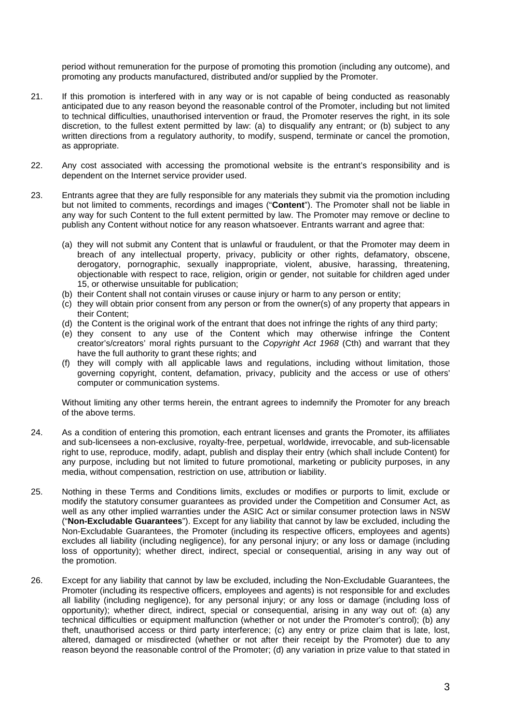period without remuneration for the purpose of promoting this promotion (including any outcome), and promoting any products manufactured, distributed and/or supplied by the Promoter.

- 21. If this promotion is interfered with in any way or is not capable of being conducted as reasonably anticipated due to any reason beyond the reasonable control of the Promoter, including but not limited to technical difficulties, unauthorised intervention or fraud, the Promoter reserves the right, in its sole discretion, to the fullest extent permitted by law: (a) to disqualify any entrant; or (b) subject to any written directions from a regulatory authority, to modify, suspend, terminate or cancel the promotion, as appropriate.
- 22. Any cost associated with accessing the promotional website is the entrant's responsibility and is dependent on the Internet service provider used.
- 23. Entrants agree that they are fully responsible for any materials they submit via the promotion including but not limited to comments, recordings and images ("**Content**"). The Promoter shall not be liable in any way for such Content to the full extent permitted by law. The Promoter may remove or decline to publish any Content without notice for any reason whatsoever. Entrants warrant and agree that:
	- (a) they will not submit any Content that is unlawful or fraudulent, or that the Promoter may deem in breach of any intellectual property, privacy, publicity or other rights, defamatory, obscene, derogatory, pornographic, sexually inappropriate, violent, abusive, harassing, threatening, objectionable with respect to race, religion, origin or gender, not suitable for children aged under 15, or otherwise unsuitable for publication;
	- (b) their Content shall not contain viruses or cause injury or harm to any person or entity;
	- (c) they will obtain prior consent from any person or from the owner(s) of any property that appears in their Content;
	- (d) the Content is the original work of the entrant that does not infringe the rights of any third party;
	- (e) they consent to any use of the Content which may otherwise infringe the Content creator's/creators' moral rights pursuant to the *Copyright Act 1968* (Cth) and warrant that they have the full authority to grant these rights; and
	- (f) they will comply with all applicable laws and regulations, including without limitation, those governing copyright, content, defamation, privacy, publicity and the access or use of others' computer or communication systems.

Without limiting any other terms herein, the entrant agrees to indemnify the Promoter for any breach of the above terms.

- 24. As a condition of entering this promotion, each entrant licenses and grants the Promoter, its affiliates and sub-licensees a non-exclusive, royalty-free, perpetual, worldwide, irrevocable, and sub-licensable right to use, reproduce, modify, adapt, publish and display their entry (which shall include Content) for any purpose, including but not limited to future promotional, marketing or publicity purposes, in any media, without compensation, restriction on use, attribution or liability.
- 25. Nothing in these Terms and Conditions limits, excludes or modifies or purports to limit, exclude or modify the statutory consumer guarantees as provided under the Competition and Consumer Act, as well as any other implied warranties under the ASIC Act or similar consumer protection laws in NSW ("**Non-Excludable Guarantees**"). Except for any liability that cannot by law be excluded, including the Non-Excludable Guarantees, the Promoter (including its respective officers, employees and agents) excludes all liability (including negligence), for any personal injury; or any loss or damage (including loss of opportunity); whether direct, indirect, special or consequential, arising in any way out of the promotion.
- 26. Except for any liability that cannot by law be excluded, including the Non-Excludable Guarantees, the Promoter (including its respective officers, employees and agents) is not responsible for and excludes all liability (including negligence), for any personal injury; or any loss or damage (including loss of opportunity); whether direct, indirect, special or consequential, arising in any way out of: (a) any technical difficulties or equipment malfunction (whether or not under the Promoter's control); (b) any theft, unauthorised access or third party interference; (c) any entry or prize claim that is late, lost, altered, damaged or misdirected (whether or not after their receipt by the Promoter) due to any reason beyond the reasonable control of the Promoter; (d) any variation in prize value to that stated in